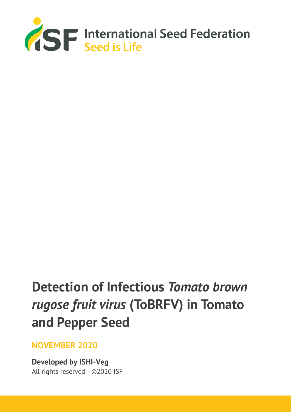

# **Detection of Infectious** *Tomato brown rugose fruit virus* **(ToBRFV) in Tomato and Pepper Seed**

**NOVEMBER 2020**

**Developed by ISHI-Veg** All rights reserved - ©2020 ISF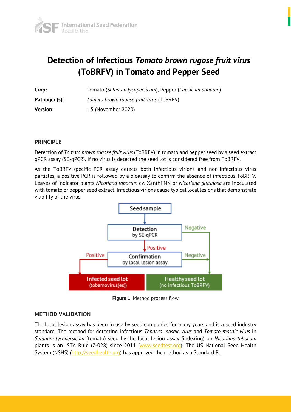

# **Detection of Infectious** *Tomato brown rugose fruit virus* **(ToBRFV) in Tomato and Pepper Seed**

| Crop:           | Tomato (Solanum lycopersicum), Pepper (Capsicum annuum) |
|-----------------|---------------------------------------------------------|
| Pathogen(s):    | Tomato brown rugose fruit virus (ToBRFV)                |
| <b>Version:</b> | 1.5 (November 2020)                                     |

#### **PRINCIPLE**

Detection of *Tomato brown rugose fruit virus* (ToBRFV) in tomato and pepper seed by a seed extract qPCR assay (SE-qPCR). If no virus is detected the seed lot is considered free from ToBRFV.

As the ToBRFV-specific PCR assay detects both infectious virions and non-infectious virus particles, a positive PCR is followed by a bioassay to confirm the absence of infectious ToBRFV. Leaves of indicator plants *Nicotiana tabacum* cv. Xanthi NN or *Nicotiana glutinosa* are inoculated with tomato or pepper seed extract. Infectious virions cause typical local lesions that demonstrate viability of the virus.



**Figure 1**. Method process flow

#### **METHOD VALIDATION**

The local lesion assay has been in use by seed companies for many years and is a seed industry standard. The method for detecting infectious *Tobacco mosaic virus* and *Tomato mosaic virus* in *Solanum lycopersicum* (tomato) seed by the local lesion assay (indexing) on *Nicotiana tabacum* plants is an ISTA Rule (7-028) since 2011 [\(www.seedtest.org\)](http://www.seedtest.org/). The US National Seed Health System (NSHS) [\(http://seedhealth.org\)](http://seedhealth.org/) has approved the method as a Standard B.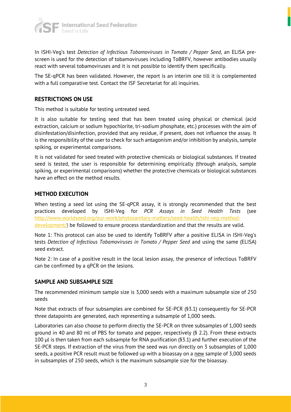

In ISHI-Veg's test *Detection of Infectious Tobamoviruses in Tomato / Pepper Seed*, an ELISA prescreen is used for the detection of tobamoviruses including ToBRFV, however antibodies usually react with several tobamoviruses and it is not possible to identify them specifically.

The SE-qPCR has been validated. However, the report is an interim one till it is complemented with a full comparative test. Contact the ISF Secretariat for all inquiries.

#### **RESTRICTIONS ON USE**

This method is suitable for testing untreated seed.

It is also suitable for testing seed that has been treated using physical or chemical (acid extraction, calcium or sodium hypochlorite, tri-sodium phosphate, etc.) processes with the aim of disinfestation/disinfection, provided that any residue, if present, does not influence the assay. It is the responsibility of the user to check for such antagonism and/or inhibition by analysis, sample spiking, or experimental comparisons.

It is not validated for seed treated with protective chemicals or biological substances. If treated seed is tested, the user is responsible for determining empirically (through analysis, sample spiking, or experimental comparisons) whether the protective chemicals or biological substances have an effect on the method results.

#### **METHOD EXECUTION**

When testing a seed lot using the SE-qPCR assay, it is strongly recommended that the best practices developed by ISHI-Veg for *PCR Assays in Seed Health Tests* (see http://www.worldseed.org/our-work/phytosanitary-matters/seed-health/ishi-veg-methoddevelopment/) be followed to ensure process standardization and that the results are valid.

Note 1: This protocol can also be used to identify ToBRFV after a positive ELISA in ISHI-Veg's tests *Detection of Infectious Tobamoviruses in Tomato / Pepper Seed* and using the same (ELISA) seed extract.

Note 2: In case of a positive result in the local lesion assay, the presence of infectious ToBRFV can be confirmed by a qPCR on the lesions.

#### **SAMPLE AND SUBSAMPLE SIZE**

The recommended minimum sample size is 3,000 seeds with a maximum subsample size of 250 seeds

Note that extracts of four subsamples are combined for SE-PCR (§3.1) consequently for SE-PCR three datapoints are generated, each representing a subsample of 1,000 seeds.

Laboratories can also choose to perform directly the SE-PCR on three subsamples of 1,000 seeds ground in 40 and 80 ml of PBS for tomato and pepper, respectively (§ 2.2). From these extracts 100 µl is then taken from each subsample for RNA purification (§3.1) and further execution of the SE-PCR steps. If extraction of the virus from the seed was run directly on 3 subsamples of 1,000 seeds, a positive PCR result must be followed up with a bioassay on a new sample of 3,000 seeds in subsamples of 250 seeds, which is the maximum subsample size for the bioassay.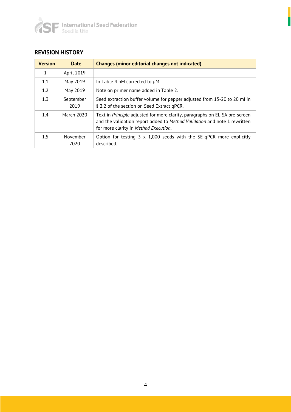

### **REVISION HISTORY**

| <b>Version</b> | <b>Date</b>       | <b>Changes (minor editorial changes not indicated)</b>                                                                                                                                            |
|----------------|-------------------|---------------------------------------------------------------------------------------------------------------------------------------------------------------------------------------------------|
| 1              | April 2019        |                                                                                                                                                                                                   |
| 1.1            | May 2019          | In Table 4 nM corrected to µM.                                                                                                                                                                    |
| 1.2            | May 2019          | Note on primer name added in Table 2.                                                                                                                                                             |
| 1.3            | September<br>2019 | Seed extraction buffer volume for pepper adjusted from 15-20 to 20 ml in<br>§ 2.2 of the section on Seed Extract gPCR.                                                                            |
| 1.4            | March 2020        | Text in Principle adjusted for more clarity, paragraphs on ELISA pre-screen<br>and the validation report added to Method Validation and note 1 rewritten<br>for more clarity in Method Execution. |
| 1.5            | November<br>2020  | Option for testing $3 \times 1,000$ seeds with the SE-qPCR more explicitly<br>described.                                                                                                          |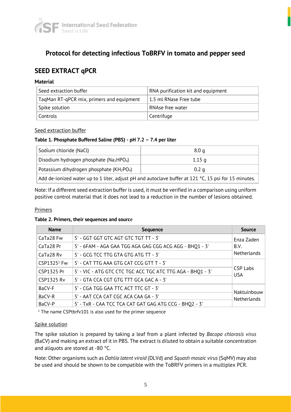

# **Protocol for detecting infectious ToBRFV in tomato and pepper seed**

# **SEED EXTRACT qPCR**

#### **Material**

| Seed extraction buffer                    | RNA purification kit and equipment |
|-------------------------------------------|------------------------------------|
| TagMan RT-gPCR mix, primers and equipment | l 1.5 ml RNase Free tube           |
| Spike solution                            | RNAse free water                   |
| Controls                                  | Centrifuge                         |

#### Seed extraction buffer

#### **Table 1. Phosphate Buffered Saline (PBS) - pH 7.2 – 7.4 per liter**

| Sodium chloride (NaCl)                                                                               | 8.0 <sub>q</sub>  |  |
|------------------------------------------------------------------------------------------------------|-------------------|--|
| Disodium hydrogen phosphate ( $Na2HPO4$ )                                                            | 1.15 <sub>q</sub> |  |
| Potassium dihydrogen phosphate (KH <sub>2</sub> PO <sub>4</sub> )                                    | 0.2 <sub>q</sub>  |  |
| Add de-ionized water up to 1 liter, adjust pH and autoclave buffer at 121 °C, 15 psi for 15 minutes. |                   |  |

Note: If a different seed extraction buffer is used, it must be verified in a comparison using uniform positive control material that it does not lead to a reduction in the number of lesions obtained.

#### Primers

#### **Table 2. Primers, their sequences and source**

| <b>Name</b>             | <b>Sequence</b>                                            | <b>Source</b>                 |
|-------------------------|------------------------------------------------------------|-------------------------------|
| CaTa28 Fw               | 5' - GGT GGT GTC AGT GTC TGT TT - 3'                       | Enza Zaden                    |
| CaTa28 Pr               | 5' - 6FAM - AGA GAA TGG AGA GAG CGG ACG AGG - BHQ1 - 3'    | B.V.                          |
| CaTa28 Rv               | 5' - GCG TCC TTG GTA GTG ATG TT - 3'                       | Netherlands                   |
| CSP1325 <sup>1</sup> Fw | 5' - CAT TTG AAA GTG CAT CCG GTT T - 3'                    |                               |
| CSP1325 Pr              | 5' - VIC - ATG GTC CTC TGC ACC TGC ATC TTG AGA - BHQ1 - 3' | <b>CSP Labs</b><br><b>USA</b> |
| <b>CSP1325 Rv</b>       | 5' - GTA CCA CGT GTG TTT GCA GAC A - 3'                    |                               |
| BaCV-F                  | 5' - CGA TGG GAA TTC ACT TTC GT - 3'                       | Naktuinbouw                   |
| BaCV-R                  | 5' - AAT CCA CAT CGC ACA CAA GA - 3'                       | Netherlands                   |
| BaCV-P                  | 5' - TxR - CAA TCC TCA CAT GAT GAG ATG CCG - BHQ2 - 3'     |                               |

 $1$ <sup>1</sup> The name CSPtbrfv101 is also used for the primer sequence

#### Spike solution

The spike solution is prepared by taking a leaf from a plant infected by *Bacopa chlorosis virus* (BaCV) and making an extract of it in PBS. The extract is diluted to obtain a suitable concentration and aliquots are stored at -80 °C.

Note: Other organisms such as *Dahlia latent viroid* (DLVd) and *Squash mosaic virus* (SqMV) may also be used and should be shown to be compatible with the ToBRFV primers in a multiplex PCR.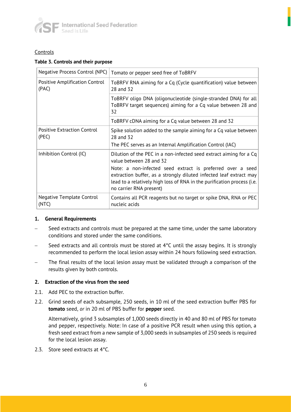

#### **Controls**

#### **Table 3. Controls and their purpose**

| Negative Process Control (NPC)              | Tomato or pepper seed free of ToBRFV                                                                                                                                                                                                   |
|---------------------------------------------|----------------------------------------------------------------------------------------------------------------------------------------------------------------------------------------------------------------------------------------|
| Positive Amplification Control<br>(PAC)     | ToBRFV RNA aiming for a Cq (Cycle quantification) value between<br>28 and 32                                                                                                                                                           |
|                                             | ToBRFV oligo DNA (oligonucleotide (single-stranded DNA) for all<br>ToBRFV target sequences) aiming for a Cq value between 28 and<br>32                                                                                                 |
|                                             | ToBRFV cDNA aiming for a Cq value between 28 and 32                                                                                                                                                                                    |
| <b>Positive Extraction Control</b><br>(PEC) | Spike solution added to the sample aiming for a Cq value between<br>28 and 32                                                                                                                                                          |
|                                             | The PEC serves as an Internal Amplification Control (IAC)                                                                                                                                                                              |
| Inhibition Control (IC)                     | Dilution of the PEC in a non-infected seed extract aiming for a Cq<br>value between 28 and 32                                                                                                                                          |
|                                             | Note: a non-infected seed extract is preferred over a seed<br>extraction buffer, as a strongly diluted infected leaf extract may<br>lead to a relatively high loss of RNA in the purification process (i.e.<br>no carrier RNA present) |
| Negative Template Control<br>(NTC)          | Contains all PCR reagents but no target or spike DNA, RNA or PEC<br>nucleic acids                                                                                                                                                      |

#### **1. General Requirements**

- − Seed extracts and controls must be prepared at the same time, under the same laboratory conditions and stored under the same conditions.
- Seed extracts and all controls must be stored at 4°C until the assay begins. It is strongly recommended to perform the local lesion assay within 24 hours following seed extraction.
- The final results of the local lesion assay must be validated through a comparison of the results given by both controls.

#### **2. Extraction of the virus from the seed**

- 2.1. Add PEC to the extraction buffer.
- 2.2. Grind seeds of each subsample, 250 seeds, in 10 ml of the seed extraction buffer PBS for **tomato** seed, *or* in 20 ml of PBS buffer for **pepper** seed.

Alternatively, grind 3 subsamples of 1,000 seeds directly in 40 and 80 ml of PBS for tomato and pepper, respectively. Note: In case of a positive PCR result when using this option, a fresh seed extract from a new sample of 3,000 seeds in subsamples of 250 seeds is required for the local lesion assay.

2.3. Store seed extracts at 4°C.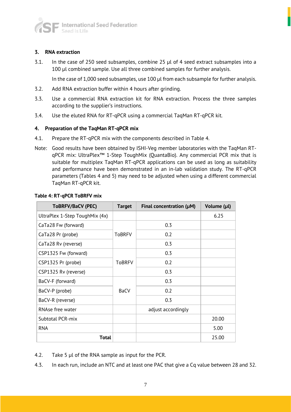

#### **3. RNA extraction**

3.1. In the case of 250 seed subsamples, combine 25 µl of 4 seed extract subsamples into a 100 µl combined sample. Use all three combined samples for further analysis.

In the case of 1,000 seed subsamples, use 100 µl from each subsample for further analysis.

- 3.2. Add RNA extraction buffer within 4 hours after grinding.
- 3.3. Use a commercial RNA extraction kit for RNA extraction. Process the three samples according to the supplier's instructions.
- 3.4. Use the eluted RNA for RT-qPCR using a commercial TaqMan RT-qPCR kit.

#### **4. Preparation of the TaqMan RT-qPCR mix**

- 4.1. Prepare the RT-qPCR mix with the components described in Table 4.
- Note: Good results have been obtained by ISHI-Veg member laboratories with the TaqMan RTqPCR mix: UltraPlex™ 1-Step ToughMix (QuantaBio). Any commercial PCR mix that is suitable for multiplex TaqMan RT-qPCR applications can be used as long as suitability and performance have been demonstrated in an in-lab validation study. The RT-qPCR parameters (Tables 4 and 5) may need to be adjusted when using a different commercial TaqMan RT-qPCR kit.

| ToBRFV/BaCV (PEC)              | <b>Target</b> | Final concentration $(\mu M)$ | Volume (µl) |
|--------------------------------|---------------|-------------------------------|-------------|
| UltraPlex 1-Step ToughMix (4x) |               |                               | 6.25        |
| CaTa28 Fw (forward)            |               | 0.3                           |             |
| CaTa28 Pr (probe)              | <b>ToBRFV</b> | 0.2                           |             |
| CaTa28 Rv (reverse)            |               | 0.3                           |             |
| CSP1325 Fw (forward)           |               | 0.3                           |             |
| CSP1325 Pr (probe)             | <b>ToBRFV</b> | 0.2                           |             |
| CSP1325 Rv (reverse)           |               | 0.3                           |             |
| BaCV-F (forward)               |               | 0.3                           |             |
| BaCV-P (probe)                 | <b>BaCV</b>   | 0.2                           |             |
| BaCV-R (reverse)               |               | 0.3                           |             |
| RNAse free water               |               | adjust accordingly            |             |
| <b>Subtotal PCR-mix</b>        |               |                               | 20.00       |
| <b>RNA</b>                     |               |                               | 5.00        |
| <b>Total</b>                   |               |                               | 25.00       |

#### **Table 4: RT-qPCR ToBRFV mix**

- 4.2. Take 5 µl of the RNA sample as input for the PCR.
- 4.3. In each run, include an NTC and at least one PAC that give a Cq value between 28 and 32.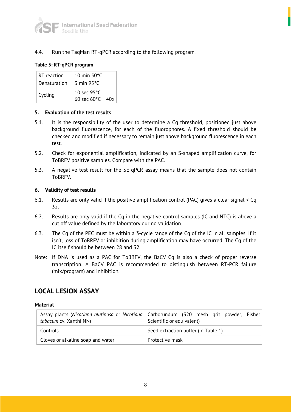4.4. Run the TaqMan RT-qPCR according to the following program.

#### **Table 5: RT-qPCR program**

| RT reaction  | 10 min $50^{\circ}$ C         |     |
|--------------|-------------------------------|-----|
| Denaturation | $3 \text{ min } 95^{\circ}$ C |     |
| Cycling      | 10 sec 95°C                   |     |
|              | 60 sec 60°C                   | 40x |

#### **5. Evaluation of the test results**

- 5.1. It is the responsibility of the user to determine a Cq threshold, positioned just above background fluorescence, for each of the fluorophores. A fixed threshold should be checked and modified if necessary to remain just above background fluorescence in each test.
- 5.2. Check for exponential amplification, indicated by an S-shaped amplification curve, for ToBRFV positive samples. Compare with the PAC.
- 5.3. A negative test result for the SE-qPCR assay means that the sample does not contain ToBRFV.

#### **6. Validity of test results**

- 6.1. Results are only valid if the positive amplification control (PAC) gives a clear signal < Cq 32.
- 6.2. Results are only valid if the Cq in the negative control samples (IC and NTC) is above a cut off value defined by the laboratory during validation.
- 6.3. The Cq of the PEC must be within a 3-cycle range of the Cq of the IC in all samples. If it isn't, loss of ToBRFV or inhibition during amplification may have occurred. The Cq of the IC itself should be between 28 and 32.
- Note: If DNA is used as a PAC for ToBRFV, the BaCV Cq is also a check of proper reverse transcription. A BaCV PAC is recommended to distinguish between RT-PCR failure (mix/program) and inhibition.

## **LOCAL LESION ASSAY**

#### **Material**

| tabacum cv. Xanthi NN)            | Assay plants (Nicotiana glutinosa or Nicotiana) Carborundum (320 mesh grit powder, Fisher<br>Scientific or equivalent) |
|-----------------------------------|------------------------------------------------------------------------------------------------------------------------|
| Controls                          | Seed extraction buffer (in Table 1)                                                                                    |
| Gloves or alkaline soap and water | Protective mask                                                                                                        |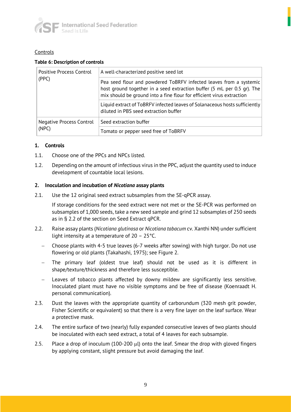

#### **Controls**

#### **Table 6: Description of controls**

| Positive Process Control<br>(PPC)        | A well-characterized positive seed lot                                                                                                                                                                                 |
|------------------------------------------|------------------------------------------------------------------------------------------------------------------------------------------------------------------------------------------------------------------------|
|                                          | Pea seed flour and powdered ToBRFV infected leaves from a systemic<br>host ground together in a seed extraction buffer (5 mL per 0.5 gr). The<br>mix should be ground into a fine flour for efficient virus extraction |
|                                          | Liquid extract of ToBRFV infected leaves of Solanaceous hosts sufficiently<br>diluted in PBS seed extraction buffer                                                                                                    |
| <b>Negative Process Control</b><br>(NPC) | Seed extraction buffer                                                                                                                                                                                                 |
|                                          | Tomato or pepper seed free of ToBRFV                                                                                                                                                                                   |

#### **1. Controls**

- 1.1. Choose one of the PPCs and NPCs listed.
- 1.2. Depending on the amount of infectious virus in the PPC, adjust the quantity used to induce development of countable local lesions.

#### **2. Inoculation and incubation of** *Nicotiana* **assay plants**

2.1. Use the 12 original seed extract subsamples from the SE-qPCR assay.

If storage conditions for the seed extract were not met or the SE-PCR was performed on subsamples of 1,000 seeds, take a new seed sample and grind 12 subsamples of 250 seeds as in § 2.2 of the section on Seed Extract qPCR.

- 2.2. Raise assay plants (*Nicotiana glutinosa* or *Nicotiana tabacum* cv. Xanthi NN) under sufficient light intensity at a temperature of 20 – 25°C.
	- − Choose plants with 4-5 true leaves (6-7 weeks after sowing) with high turgor. Do not use flowering or old plants (Takahashi, 1975); see Figure 2.
	- The primary leaf (oldest true leaf) should not be used as it is different in shape/texture/thickness and therefore less susceptible.
	- Leaves of tobacco plants affected by downy mildew are significantly less sensitive. Inoculated plant must have no visible symptoms and be free of disease (Koenraadt H. personal communication).
- 2.3. Dust the leaves with the appropriate quantity of carborundum (320 mesh grit powder, Fisher Scientific or equivalent) so that there is a very fine layer on the leaf surface. Wear a protective mask.
- 2.4. The entire surface of two (nearly) fully expanded consecutive leaves of two plants should be inoculated with each seed extract, a total of 4 leaves for each subsample.
- 2.5. Place a drop of inoculum (100-200  $\mu$ l) onto the leaf. Smear the drop with gloved fingers by applying constant, slight pressure but avoid damaging the leaf.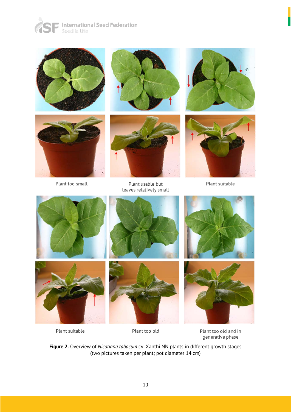





Plant too small





Plant usable but leaves relatively small





Plant suitable









Plant suitable



Plant too old and in generative phase

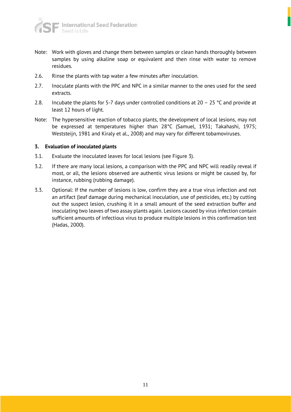

- Note: Work with gloves and change them between samples or clean hands thoroughly between samples by using alkaline soap or equivalent and then rinse with water to remove residues.
- 2.6. Rinse the plants with tap water a few minutes after inoculation.
- 2.7. Inoculate plants with the PPC and NPC in a similar manner to the ones used for the seed extracts.
- 2.8. Incubate the plants for 5-7 days under controlled conditions at 20 25  $^{\circ}$ C and provide at least 12 hours of light.
- Note: The hypersensitive reaction of tobacco plants, the development of local lesions, may not be expressed at temperatures higher than 28°C (Samuel, 1931; Takahashi, 1975; Weststeijn, 1981 and Kiraly et al., 2008) and may vary for different tobamoviruses.

#### **3. Evaluation of inoculated plants**

- 3.1. Evaluate the inoculated leaves for local lesions (see Figure 3).
- 3.2. If there are many local lesions, a comparison with the PPC and NPC will readily reveal if most, or all, the lesions observed are authentic virus lesions or might be caused by, for instance, rubbing (rubbing damage).
- 3.3. Optional: If the number of lesions is low, confirm they are a true virus infection and not an artifact (leaf damage during mechanical inoculation, use of pesticides, etc.) by cutting out the suspect lesion, crushing it in a small amount of the seed extraction buffer and inoculating two leaves of two assay plants again. Lesions caused by virus infection contain sufficient amounts of infectious virus to produce multiple lesions in this confirmation test (Hadas, 2000).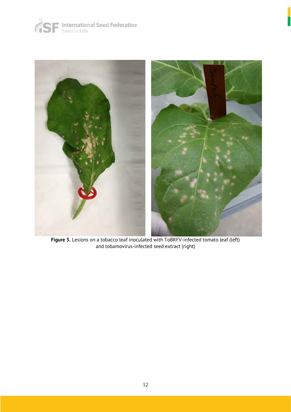



**Figure 3.** Lesions on a tobacco leaf inoculated with ToBRFV-infected tomato leaf (left) and tobamovirus-infected seed extract (right)